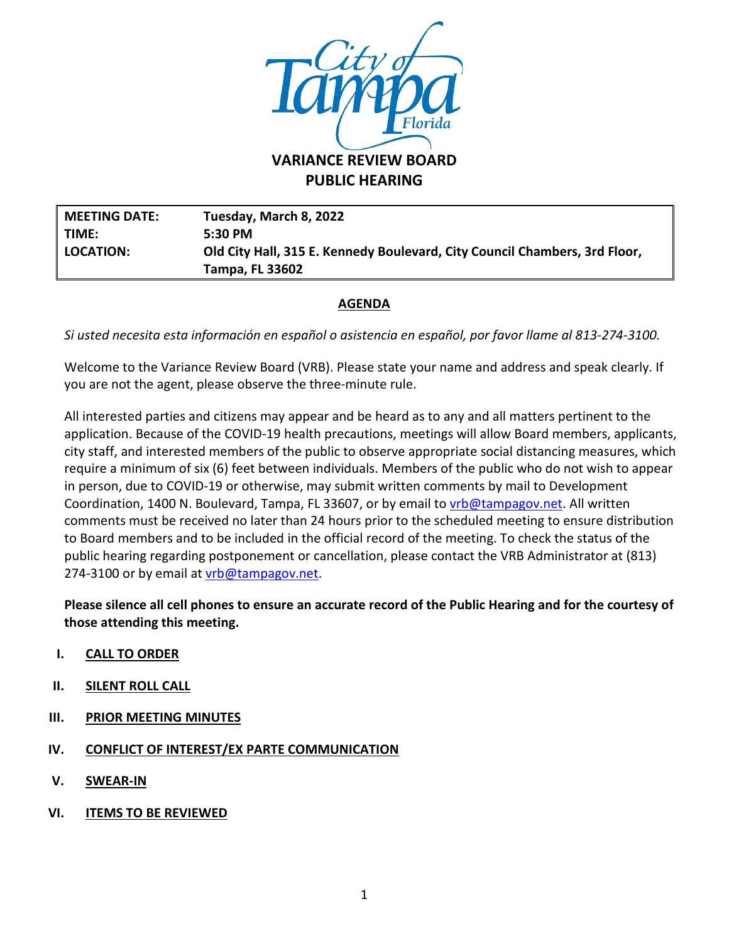

**PUBLIC HEARING**

**MEETING DATE: Tuesday, March 8, 2022 TIME: 5:30 PM LOCATION: Old City Hall, 315 E. Kennedy Boulevard, City Council Chambers, 3rd Floor, Tampa, FL 33602**

### **AGENDA**

*Si usted necesita esta información en español o asistencia en español, por favor llame al 813-274-3100.*

Welcome to the Variance Review Board (VRB). Please state your name and address and speak clearly. If you are not the agent, please observe the three-minute rule.

All interested parties and citizens may appear and be heard as to any and all matters pertinent to the application. Because of the COVID-19 health precautions, meetings will allow Board members, applicants, city staff, and interested members of the public to observe appropriate social distancing measures, which require a minimum of six (6) feet between individuals. Members of the public who do not wish to appear in person, due to COVID-19 or otherwise, may submit written comments by mail to Development Coordination, 1400 N. Boulevard, Tampa, FL 33607, or by email to *vrb@tampagov.net*. All written comments must be received no later than 24 hours prior to the scheduled meeting to ensure distribution to Board members and to be included in the official record of the meeting. To check the status of the public hearing regarding postponement or cancellation, please contact the VRB Administrator at (813) 274-3100 or by email at *vrb@tampagov.net.* 

**Please silence all cell phones to ensure an accurate record of the Public Hearing and for the courtesy of those attending this meeting.** 

- **I. CALL TO ORDER**
- **II. SILENT ROLL CALL**
- **III. PRIOR MEETING MINUTES**
- **IV. CONFLICT OF INTEREST/EX PARTE COMMUNICATION**
- **V. SWEAR-IN**
- **VI. ITEMS TO BE REVIEWED**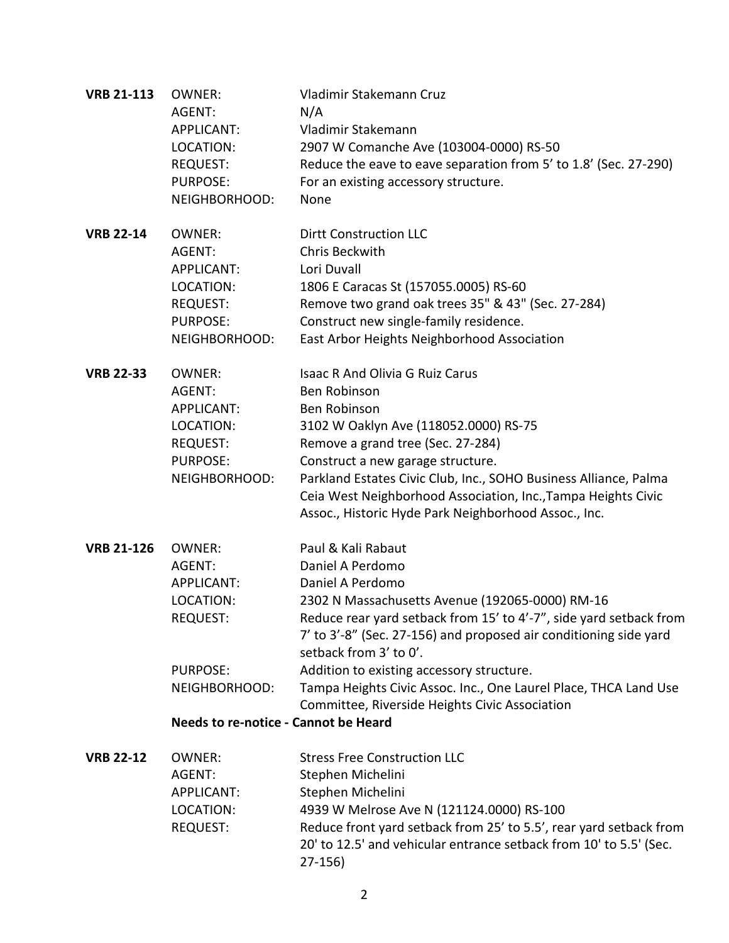| <b>VRB 21-113</b> | <b>OWNER:</b><br>AGENT:<br><b>APPLICANT:</b><br>LOCATION:<br><b>REQUEST:</b><br>PURPOSE:<br>NEIGHBORHOOD:                                                | Vladimir Stakemann Cruz<br>N/A<br>Vladimir Stakemann<br>2907 W Comanche Ave (103004-0000) RS-50<br>Reduce the eave to eave separation from 5' to 1.8' (Sec. 27-290)<br>For an existing accessory structure.<br>None                                                                                                                                                                                                                                   |
|-------------------|----------------------------------------------------------------------------------------------------------------------------------------------------------|-------------------------------------------------------------------------------------------------------------------------------------------------------------------------------------------------------------------------------------------------------------------------------------------------------------------------------------------------------------------------------------------------------------------------------------------------------|
| <b>VRB 22-14</b>  | <b>OWNER:</b><br>AGENT:<br><b>APPLICANT:</b><br>LOCATION:<br><b>REQUEST:</b><br>PURPOSE:<br>NEIGHBORHOOD:                                                | <b>Dirtt Construction LLC</b><br><b>Chris Beckwith</b><br>Lori Duvall<br>1806 E Caracas St (157055.0005) RS-60<br>Remove two grand oak trees 35" & 43" (Sec. 27-284)<br>Construct new single-family residence.<br>East Arbor Heights Neighborhood Association                                                                                                                                                                                         |
| <b>VRB 22-33</b>  | <b>OWNER:</b><br>AGENT:<br><b>APPLICANT:</b><br>LOCATION:<br><b>REQUEST:</b><br>PURPOSE:<br>NEIGHBORHOOD:                                                | <b>Isaac R And Olivia G Ruiz Carus</b><br>Ben Robinson<br>Ben Robinson<br>3102 W Oaklyn Ave (118052.0000) RS-75<br>Remove a grand tree (Sec. 27-284)<br>Construct a new garage structure.<br>Parkland Estates Civic Club, Inc., SOHO Business Alliance, Palma<br>Ceia West Neighborhood Association, Inc., Tampa Heights Civic<br>Assoc., Historic Hyde Park Neighborhood Assoc., Inc.                                                                |
| <b>VRB 21-126</b> | <b>OWNER:</b><br>AGENT:<br><b>APPLICANT:</b><br>LOCATION:<br><b>REQUEST:</b><br><b>PURPOSE:</b><br>NEIGHBORHOOD:<br>Needs to re-notice - Cannot be Heard | Paul & Kali Rabaut<br>Daniel A Perdomo<br>Daniel A Perdomo<br>2302 N Massachusetts Avenue (192065-0000) RM-16<br>Reduce rear yard setback from 15' to 4'-7", side yard setback from<br>7' to 3'-8" (Sec. 27-156) and proposed air conditioning side yard<br>setback from 3' to 0'.<br>Addition to existing accessory structure.<br>Tampa Heights Civic Assoc. Inc., One Laurel Place, THCA Land Use<br>Committee, Riverside Heights Civic Association |
| <b>VRB 22-12</b>  | <b>OWNER:</b><br>AGENT:<br><b>APPLICANT:</b><br>LOCATION:<br>REQUEST:                                                                                    | <b>Stress Free Construction LLC</b><br>Stephen Michelini<br>Stephen Michelini<br>4939 W Melrose Ave N (121124.0000) RS-100<br>Reduce front yard setback from 25' to 5.5', rear yard setback from<br>20' to 12.5' and vehicular entrance setback from 10' to 5.5' (Sec.                                                                                                                                                                                |

27-156)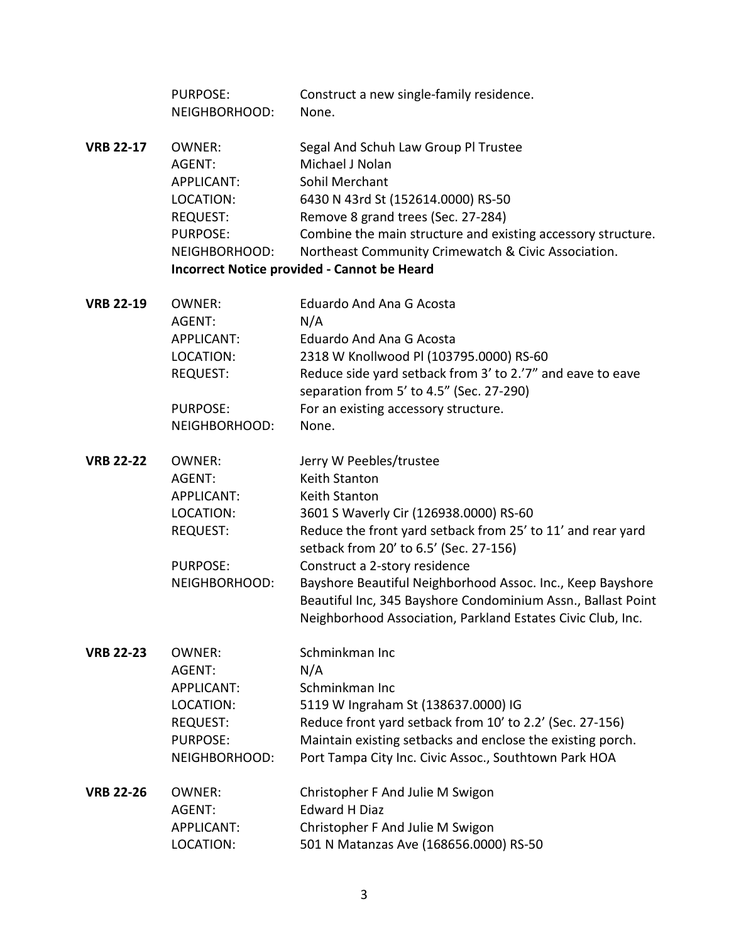|                  | <b>PURPOSE:</b><br>NEIGHBORHOOD: | Construct a new single-family residence.<br>None.            |  |  |
|------------------|----------------------------------|--------------------------------------------------------------|--|--|
| <b>VRB 22-17</b> | <b>OWNER:</b>                    | Segal And Schuh Law Group Pl Trustee                         |  |  |
|                  | AGENT:                           | Michael J Nolan                                              |  |  |
|                  | APPLICANT:                       | Sohil Merchant                                               |  |  |
|                  | LOCATION:                        | 6430 N 43rd St (152614.0000) RS-50                           |  |  |
|                  | <b>REQUEST:</b>                  | Remove 8 grand trees (Sec. 27-284)                           |  |  |
|                  | <b>PURPOSE:</b>                  | Combine the main structure and existing accessory structure. |  |  |
|                  | NEIGHBORHOOD:                    | Northeast Community Crimewatch & Civic Association.          |  |  |
|                  |                                  | <b>Incorrect Notice provided - Cannot be Heard</b>           |  |  |
| <b>VRB 22-19</b> | <b>OWNER:</b>                    | <b>Eduardo And Ana G Acosta</b>                              |  |  |
|                  | AGENT:                           | N/A                                                          |  |  |
|                  | APPLICANT:                       | <b>Eduardo And Ana G Acosta</b>                              |  |  |
|                  | LOCATION:                        | 2318 W Knollwood Pl (103795.0000) RS-60                      |  |  |
|                  | <b>REQUEST:</b>                  | Reduce side yard setback from 3' to 2.'7" and eave to eave   |  |  |
|                  |                                  | separation from 5' to 4.5" (Sec. 27-290)                     |  |  |
|                  | <b>PURPOSE:</b>                  | For an existing accessory structure.                         |  |  |
|                  | NEIGHBORHOOD:                    | None.                                                        |  |  |
| <b>VRB 22-22</b> | <b>OWNER:</b>                    | Jerry W Peebles/trustee                                      |  |  |
|                  | AGENT:                           | Keith Stanton                                                |  |  |
|                  | APPLICANT:                       | <b>Keith Stanton</b>                                         |  |  |
|                  | LOCATION:                        | 3601 S Waverly Cir (126938.0000) RS-60                       |  |  |
|                  | <b>REQUEST:</b>                  | Reduce the front yard setback from 25' to 11' and rear yard  |  |  |
|                  |                                  | setback from 20' to 6.5' (Sec. 27-156)                       |  |  |
|                  | <b>PURPOSE:</b>                  | Construct a 2-story residence                                |  |  |
|                  | NEIGHBORHOOD:                    | Bayshore Beautiful Neighborhood Assoc. Inc., Keep Bayshore   |  |  |
|                  |                                  | Beautiful Inc, 345 Bayshore Condominium Assn., Ballast Point |  |  |
|                  |                                  | Neighborhood Association, Parkland Estates Civic Club, Inc.  |  |  |
| <b>VRB 22-23</b> | <b>OWNER:</b>                    | Schminkman Inc                                               |  |  |
|                  | AGENT:                           | N/A                                                          |  |  |
|                  | APPLICANT:                       | Schminkman Inc                                               |  |  |
|                  | LOCATION:                        | 5119 W Ingraham St (138637.0000) IG                          |  |  |
|                  | <b>REQUEST:</b>                  | Reduce front yard setback from 10' to 2.2' (Sec. 27-156)     |  |  |
|                  | <b>PURPOSE:</b>                  | Maintain existing setbacks and enclose the existing porch.   |  |  |
|                  | NEIGHBORHOOD:                    | Port Tampa City Inc. Civic Assoc., Southtown Park HOA        |  |  |
| <b>VRB 22-26</b> | <b>OWNER:</b>                    | Christopher F And Julie M Swigon                             |  |  |
|                  | AGENT:                           | <b>Edward H Diaz</b>                                         |  |  |
|                  | APPLICANT:                       | Christopher F And Julie M Swigon                             |  |  |
|                  | LOCATION:                        | 501 N Matanzas Ave (168656.0000) RS-50                       |  |  |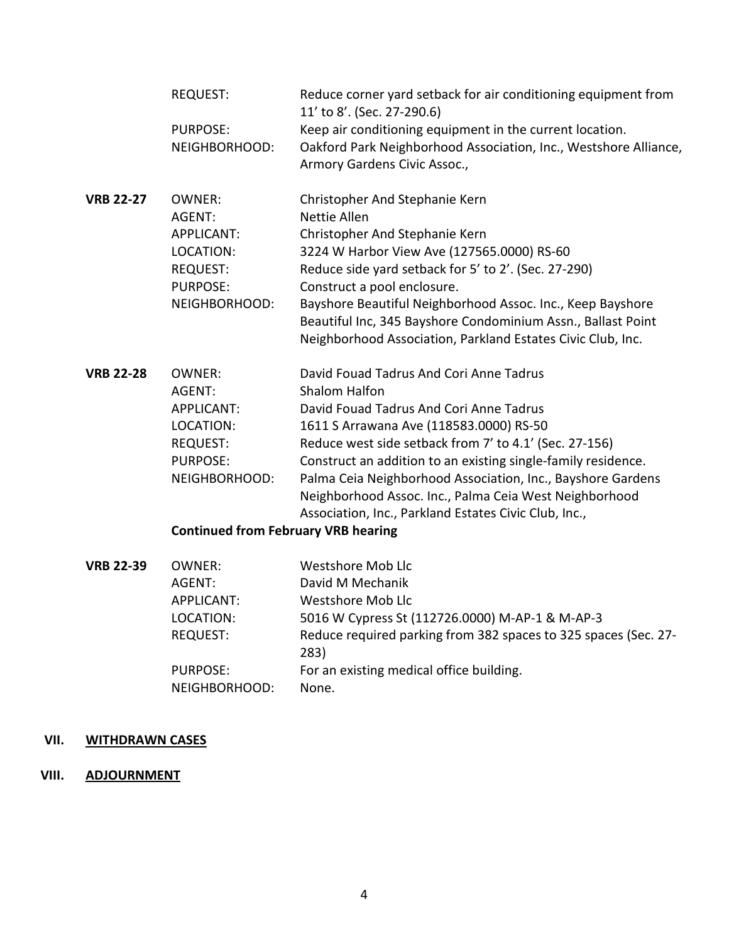|                  | <b>REQUEST:</b>                            | Reduce corner yard setback for air conditioning equipment from<br>11' to 8'. (Sec. 27-290.6)     |  |
|------------------|--------------------------------------------|--------------------------------------------------------------------------------------------------|--|
|                  | <b>PURPOSE:</b>                            | Keep air conditioning equipment in the current location.                                         |  |
|                  | NEIGHBORHOOD:                              | Oakford Park Neighborhood Association, Inc., Westshore Alliance,<br>Armory Gardens Civic Assoc., |  |
| <b>VRB 22-27</b> | <b>OWNER:</b>                              | Christopher And Stephanie Kern                                                                   |  |
|                  | AGENT:                                     | Nettie Allen                                                                                     |  |
|                  | <b>APPLICANT:</b>                          | Christopher And Stephanie Kern                                                                   |  |
|                  | LOCATION:                                  | 3224 W Harbor View Ave (127565.0000) RS-60                                                       |  |
|                  | <b>REQUEST:</b>                            | Reduce side yard setback for 5' to 2'. (Sec. 27-290)                                             |  |
|                  | PURPOSE:                                   | Construct a pool enclosure.                                                                      |  |
|                  | NEIGHBORHOOD:                              | Bayshore Beautiful Neighborhood Assoc. Inc., Keep Bayshore                                       |  |
|                  |                                            | Beautiful Inc, 345 Bayshore Condominium Assn., Ballast Point                                     |  |
|                  |                                            | Neighborhood Association, Parkland Estates Civic Club, Inc.                                      |  |
| <b>VRB 22-28</b> | <b>OWNER:</b>                              | David Fouad Tadrus And Cori Anne Tadrus                                                          |  |
|                  | AGENT:                                     | <b>Shalom Halfon</b>                                                                             |  |
|                  | <b>APPLICANT:</b>                          | David Fouad Tadrus And Cori Anne Tadrus                                                          |  |
|                  | LOCATION:                                  | 1611 S Arrawana Ave (118583.0000) RS-50                                                          |  |
|                  | <b>REQUEST:</b>                            | Reduce west side setback from 7' to 4.1' (Sec. 27-156)                                           |  |
|                  | PURPOSE:                                   | Construct an addition to an existing single-family residence.                                    |  |
|                  | NEIGHBORHOOD:                              | Palma Ceia Neighborhood Association, Inc., Bayshore Gardens                                      |  |
|                  |                                            | Neighborhood Assoc. Inc., Palma Ceia West Neighborhood                                           |  |
|                  |                                            | Association, Inc., Parkland Estates Civic Club, Inc.,                                            |  |
|                  | <b>Continued from February VRB hearing</b> |                                                                                                  |  |
| <b>VRB 22-39</b> | <b>OWNER:</b>                              | Westshore Mob Llc                                                                                |  |
|                  | AGENT:                                     | David M Mechanik                                                                                 |  |
|                  | APPLICANT:                                 | <b>Westshore Mob Llc</b>                                                                         |  |
|                  | LOCATION:                                  | 5016 W Cypress St (112726.0000) M-AP-1 & M-AP-3                                                  |  |
|                  | <b>REQUEST:</b>                            | Reduce required parking from 382 spaces to 325 spaces (Sec. 27-<br>283)                          |  |
|                  | <b>PURPOSE:</b>                            | For an existing medical office building.                                                         |  |
|                  | NEIGHBORHOOD:                              | None.                                                                                            |  |

# **VII. WITHDRAWN CASES**

## **VIII. ADJOURNMENT**